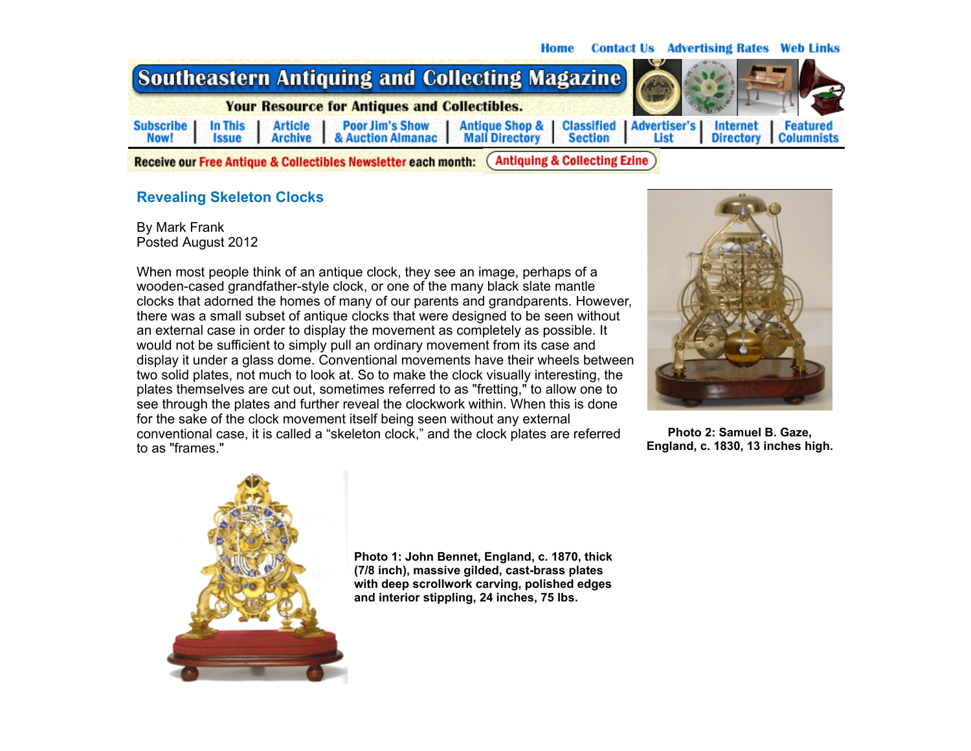## **Contact Us Advertising Rates Web Links Home**



**Antiquing & Collecting Ezine** Receive our Free Antique & Collectibles Newsletter each month:

## **Revealing Skeleton Clocks**

By Mark Frank Posted August 2012

When most people think of an antique clock, they see an image, perhaps of a wooden-cased grandfather-style clock, or one of the many black slate mantle clocks that adorned the homes of many of our parents and grandparents. However, there was a small subset of antique clocks that were designed to be seen without an external case in order to display the movement as completely as possible. It would not be sufficient to simply pull an ordinary movement from its case and display it under a glass dome. Conventional movements have their wheels between two solid plates, not much to look at. So to make the clock visually interesting, the plates themselves are cut out, sometimes referred to as "fretting," to allow one to see through the plates and further reveal the clockwork within. When this is done for the sake of the clock movement itself being seen without any external conventional case, it is called a "skeleton clock," and the clock plates are referred to as "frames."



**Photo 2: Samuel B. Gaze, England, c. 1830, 13 inches high.**



**Photo 1: John Bennet, England, c. 1870, thick (7/8 inch), massive gilded, cast-brass plates with deep scrollwork carving, polished edges and interior stippling, 24 inches, 75 lbs.**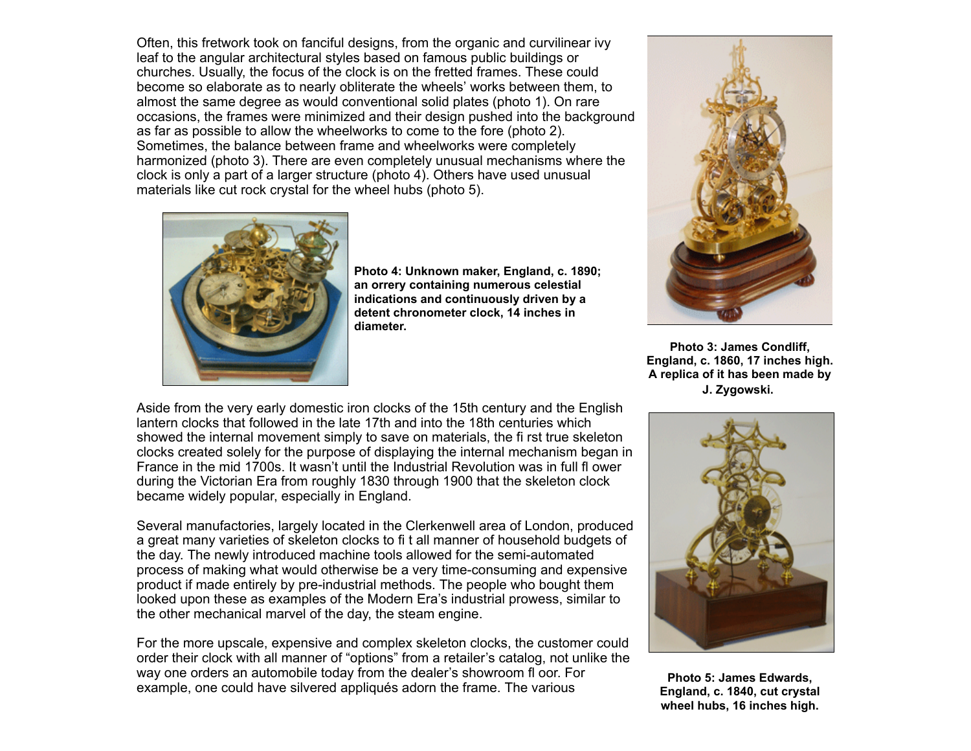Often, this fretwork took on fanciful designs, from the organic and curvilinear ivy leaf to the angular architectural styles based on famous public buildings or churches. Usually, the focus of the clock is on the fretted frames. These could become so elaborate as to nearly obliterate the wheels' works between them, to almost the same degree as would conventional solid plates (photo 1). On rare occasions, the frames were minimized and their design pushed into the background as far as possible to allow the wheelworks to come to the fore (photo 2). Sometimes, the balance between frame and wheelworks were completely harmonized (photo 3). There are even completely unusual mechanisms where the clock is only a part of a larger structure (photo 4). Others have used unusual materials like cut rock crystal for the wheel hubs (photo 5).



**Photo 4: Unknown maker, England, c. 1890; an orrery containing numerous celestial indications and continuously driven by a detent chronometer clock, 14 inches in diameter.**



**Photo 3: James Condliff, England, c. 1860, 17 inches high. A replica of it has been made by J. Zygowski.**

Aside from the very early domestic iron clocks of the 15th century and the English lantern clocks that followed in the late 17th and into the 18th centuries which showed the internal movement simply to save on materials, the fi rst true skeleton clocks created solely for the purpose of displaying the internal mechanism began in France in the mid 1700s. It wasn't until the Industrial Revolution was in full fl ower during the Victorian Era from roughly 1830 through 1900 that the skeleton clock became widely popular, especially in England.

Several manufactories, largely located in the Clerkenwell area of London, produced a great many varieties of skeleton clocks to fi t all manner of household budgets of the day. The newly introduced machine tools allowed for the semi-automated process of making what would otherwise be a very time-consuming and expensive product if made entirely by pre-industrial methods. The people who bought them looked upon these as examples of the Modern Era's industrial prowess, similar to the other mechanical marvel of the day, the steam engine.

For the more upscale, expensive and complex skeleton clocks, the customer could order their clock with all manner of "options" from a retailer's catalog, not unlike the way one orders an automobile today from the dealer's showroom fl oor. For example, one could have silvered appliqués adorn the frame. The various



**Photo 5: James Edwards, England, c. 1840, cut crystal wheel hubs, 16 inches high.**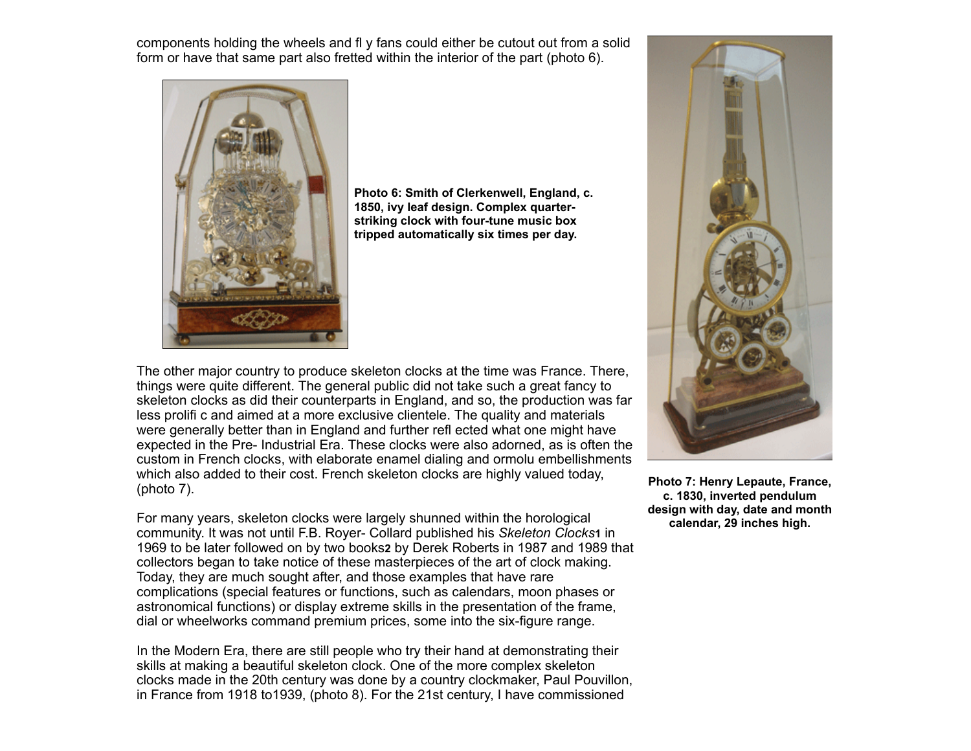components holding the wheels and fl y fans could either be cutout out from a solid form or have that same part also fretted within the interior of the part (photo 6).



**Photo 6: Smith of Clerkenwell, England, c. 1850, ivy leaf design. Complex quarterstriking clock with four-tune music box tripped automatically six times per day.**

The other major country to produce skeleton clocks at the time was France. There, things were quite different. The general public did not take such a great fancy to skeleton clocks as did their counterparts in England, and so, the production was far less prolifi c and aimed at a more exclusive clientele. The quality and materials were generally better than in England and further refl ected what one might have expected in the Pre- Industrial Era. These clocks were also adorned, as is often the custom in French clocks, with elaborate enamel dialing and ormolu embellishments which also added to their cost. French skeleton clocks are highly valued today, (photo 7).

For many years, skeleton clocks were largely shunned within the horological community. It was not until F.B. Royer- Collard published his *Skeleton Clocks***1** in 1969 to be later followed on by two books**2** by Derek Roberts in 1987 and 1989 that collectors began to take notice of these masterpieces of the art of clock making. Today, they are much sought after, and those examples that have rare complications (special features or functions, such as calendars, moon phases or astronomical functions) or display extreme skills in the presentation of the frame, dial or wheelworks command premium prices, some into the six-figure range.

In the Modern Era, there are still people who try their hand at demonstrating their skills at making a beautiful skeleton clock. One of the more complex skeleton clocks made in the 20th century was done by a country clockmaker, Paul Pouvillon, in France from 1918 to1939, (photo 8). For the 21st century, I have commissioned



**Photo 7: Henry Lepaute, France, c. 1830, inverted pendulum design with day, date and month calendar, 29 inches high.**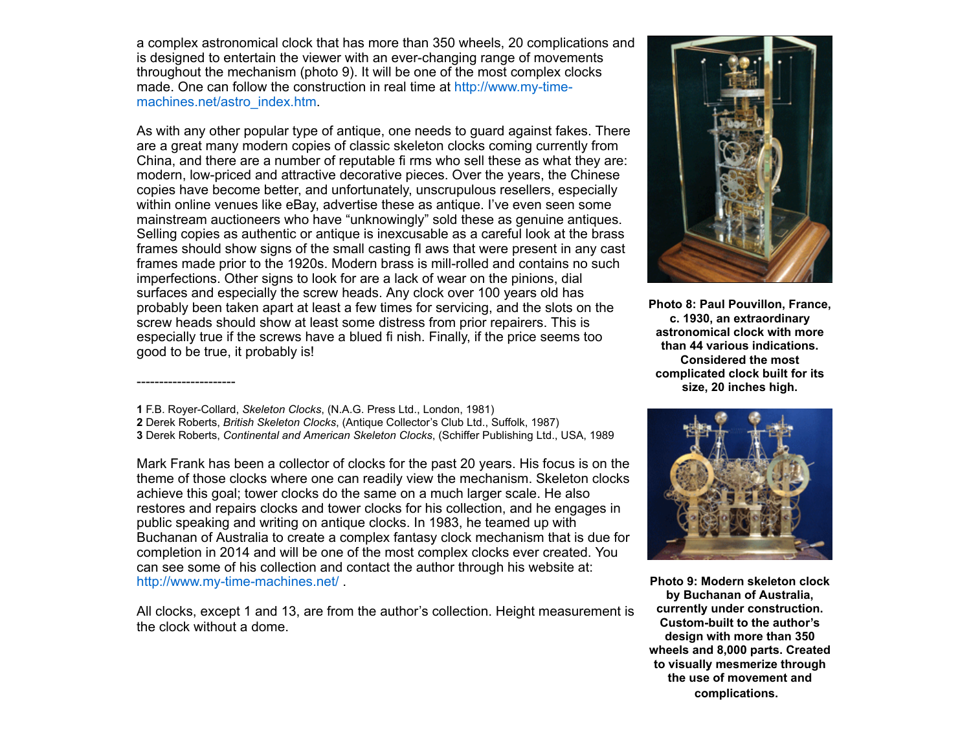a complex astronomical clock that has more than 350 wheels, 20 complications and is designed to entertain the viewer with an ever-changing range of movements throughout the mechanism (photo 9). It will be one of the most complex clocks made. One can follow the construction in real time at http://www.my-time[machines.net/astro\\_index.htm.](http://www.my-time-machines.net/astro_index.htm)

As with any other popular type of antique, one needs to guard against fakes. There are a great many modern copies of classic skeleton clocks coming currently from China, and there are a number of reputable fi rms who sell these as what they are: modern, low-priced and attractive decorative pieces. Over the years, the Chinese copies have become better, and unfortunately, unscrupulous resellers, especially within online venues like eBay, advertise these as antique. I've even seen some mainstream auctioneers who have "unknowingly" sold these as genuine antiques. Selling copies as authentic or antique is inexcusable as a careful look at the brass frames should show signs of the small casting fl aws that were present in any cast frames made prior to the 1920s. Modern brass is mill-rolled and contains no such imperfections. Other signs to look for are a lack of wear on the pinions, dial surfaces and especially the screw heads. Any clock over 100 years old has probably been taken apart at least a few times for servicing, and the slots on the screw heads should show at least some distress from prior repairers. This is especially true if the screws have a blued fi nish. Finally, if the price seems too good to be true, it probably is!

----------------------

Mark Frank has been a collector of clocks for the past 20 years. His focus is on the theme of those clocks where one can readily view the mechanism. Skeleton clocks achieve this goal; tower clocks do the same on a much larger scale. He also restores and repairs clocks and tower clocks for his collection, and he engages in public speaking and writing on antique clocks. In 1983, he teamed up with Buchanan of Australia to create a complex fantasy clock mechanism that is due for completion in 2014 and will be one of the most complex clocks ever created. You can see some of his collection and contact the author through his website at: <http://www.my-time-machines.net/> .

All clocks, except 1 and 13, are from the author's collection. Height measurement is the clock without a dome.



**Photo 8: Paul Pouvillon, France, c. 1930, an extraordinary astronomical clock with more than 44 various indications. Considered the most complicated clock built for its size, 20 inches high.**



**Photo 9: Modern skeleton clock by Buchanan of Australia, currently under construction. Custom-built to the author's design with more than 350 wheels and 8,000 parts. Created to visually mesmerize through the use of movement and complications.** 

**<sup>1</sup>** F.B. Royer-Collard, *Skeleton Clocks*, (N.A.G. Press Ltd., London, 1981) **2** Derek Roberts, *British Skeleton Clocks*, (Antique Collector's Club Ltd., Suffolk, 1987) **3** Derek Roberts, *Continental and American Skeleton Clocks*, (Schiffer Publishing Ltd., USA, 1989